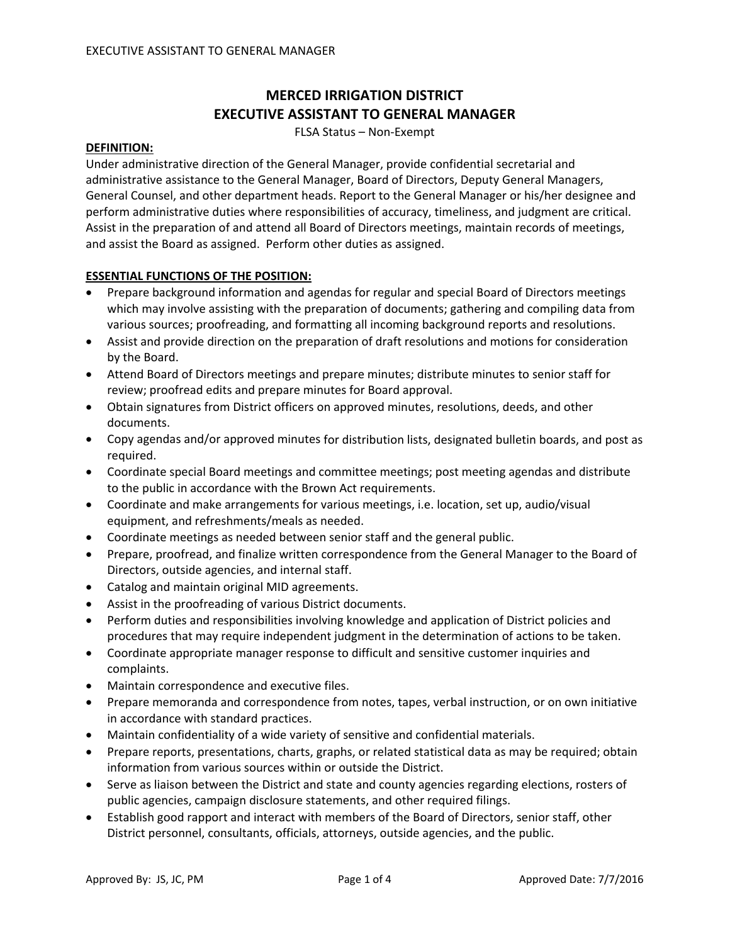# **MERCED IRRIGATION DISTRICT EXECUTIVE ASSISTANT TO GENERAL MANAGER**

FLSA Status – Non‐Exempt

#### **DEFINITION:**

Under administrative direction of the General Manager, provide confidential secretarial and administrative assistance to the General Manager, Board of Directors, Deputy General Managers, General Counsel, and other department heads. Report to the General Manager or his/her designee and perform administrative duties where responsibilities of accuracy, timeliness, and judgment are critical. Assist in the preparation of and attend all Board of Directors meetings, maintain records of meetings, and assist the Board as assigned. Perform other duties as assigned.

## **ESSENTIAL FUNCTIONS OF THE POSITION:**

- Prepare background information and agendas for regular and special Board of Directors meetings which may involve assisting with the preparation of documents; gathering and compiling data from various sources; proofreading, and formatting all incoming background reports and resolutions.
- Assist and provide direction on the preparation of draft resolutions and motions for consideration by the Board.
- Attend Board of Directors meetings and prepare minutes; distribute minutes to senior staff for review; proofread edits and prepare minutes for Board approval.
- Obtain signatures from District officers on approved minutes, resolutions, deeds, and other documents.
- Copy agendas and/or approved minutes for distribution lists, designated bulletin boards, and post as required.
- Coordinate special Board meetings and committee meetings; post meeting agendas and distribute to the public in accordance with the Brown Act requirements.
- Coordinate and make arrangements for various meetings, i.e. location, set up, audio/visual equipment, and refreshments/meals as needed.
- Coordinate meetings as needed between senior staff and the general public.
- Prepare, proofread, and finalize written correspondence from the General Manager to the Board of Directors, outside agencies, and internal staff.
- Catalog and maintain original MID agreements.
- Assist in the proofreading of various District documents.
- Perform duties and responsibilities involving knowledge and application of District policies and procedures that may require independent judgment in the determination of actions to be taken.
- Coordinate appropriate manager response to difficult and sensitive customer inquiries and complaints.
- Maintain correspondence and executive files.
- Prepare memoranda and correspondence from notes, tapes, verbal instruction, or on own initiative in accordance with standard practices.
- Maintain confidentiality of a wide variety of sensitive and confidential materials.
- Prepare reports, presentations, charts, graphs, or related statistical data as may be required; obtain information from various sources within or outside the District.
- Serve as liaison between the District and state and county agencies regarding elections, rosters of public agencies, campaign disclosure statements, and other required filings.
- Establish good rapport and interact with members of the Board of Directors, senior staff, other District personnel, consultants, officials, attorneys, outside agencies, and the public.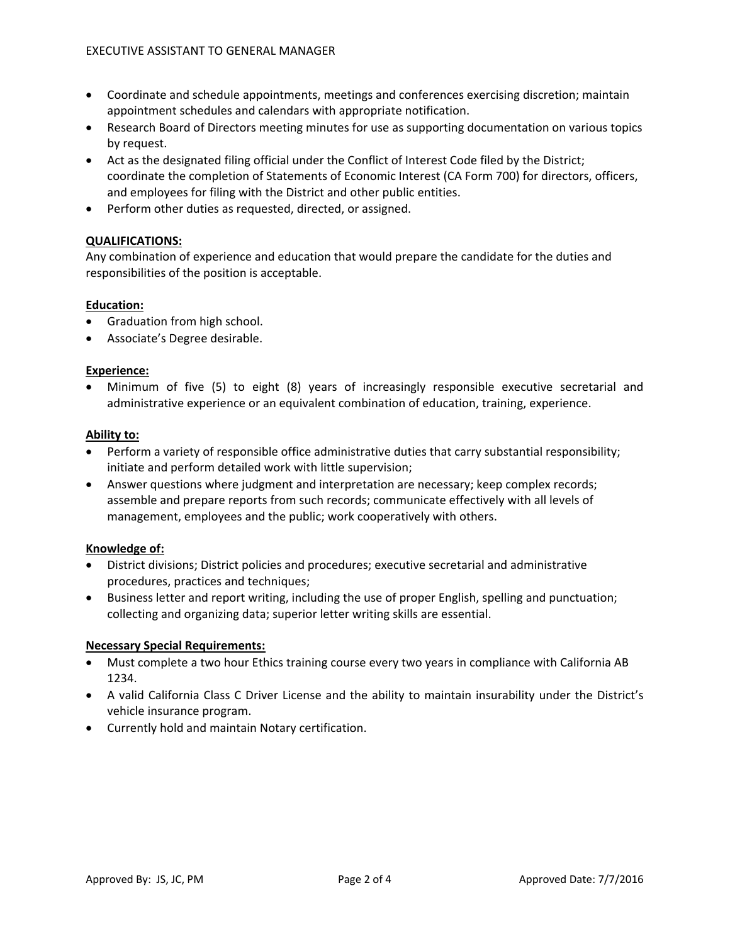- Coordinate and schedule appointments, meetings and conferences exercising discretion; maintain appointment schedules and calendars with appropriate notification.
- Research Board of Directors meeting minutes for use as supporting documentation on various topics by request.
- Act as the designated filing official under the Conflict of Interest Code filed by the District; coordinate the completion of Statements of Economic Interest (CA Form 700) for directors, officers, and employees for filing with the District and other public entities.
- Perform other duties as requested, directed, or assigned.

# **QUALIFICATIONS:**

Any combination of experience and education that would prepare the candidate for the duties and responsibilities of the position is acceptable.

## **Education:**

- Graduation from high school.
- Associate's Degree desirable.

## **Experience:**

• Minimum of five (5) to eight (8) years of increasingly responsible executive secretarial and administrative experience or an equivalent combination of education, training, experience.

## **Ability to:**

- Perform a variety of responsible office administrative duties that carry substantial responsibility; initiate and perform detailed work with little supervision;
- Answer questions where judgment and interpretation are necessary; keep complex records; assemble and prepare reports from such records; communicate effectively with all levels of management, employees and the public; work cooperatively with others.

## **Knowledge of:**

- District divisions; District policies and procedures; executive secretarial and administrative procedures, practices and techniques;
- Business letter and report writing, including the use of proper English, spelling and punctuation; collecting and organizing data; superior letter writing skills are essential.

## **Necessary Special Requirements:**

- Must complete a two hour Ethics training course every two years in compliance with California AB 1234.
- A valid California Class C Driver License and the ability to maintain insurability under the District's vehicle insurance program.
- Currently hold and maintain Notary certification.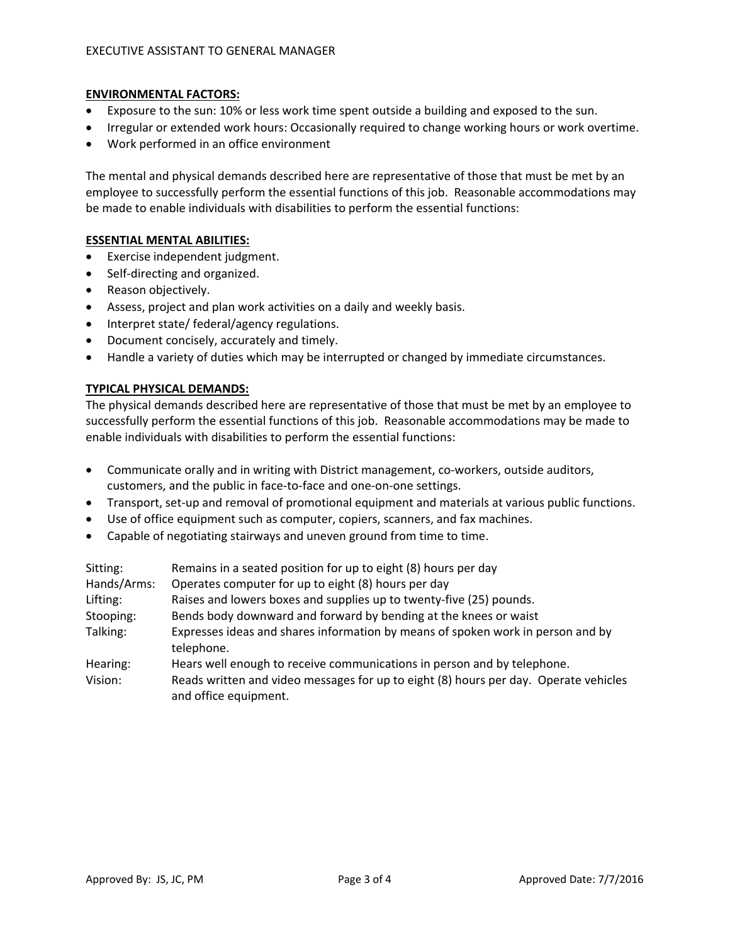## **ENVIRONMENTAL FACTORS:**

- Exposure to the sun: 10% or less work time spent outside a building and exposed to the sun.
- Irregular or extended work hours: Occasionally required to change working hours or work overtime.
- Work performed in an office environment

The mental and physical demands described here are representative of those that must be met by an employee to successfully perform the essential functions of this job. Reasonable accommodations may be made to enable individuals with disabilities to perform the essential functions:

# **ESSENTIAL MENTAL ABILITIES:**

- Exercise independent judgment.
- Self-directing and organized.
- Reason objectively.
- Assess, project and plan work activities on a daily and weekly basis.
- Interpret state/ federal/agency regulations.
- Document concisely, accurately and timely.
- Handle a variety of duties which may be interrupted or changed by immediate circumstances.

#### **TYPICAL PHYSICAL DEMANDS:**

The physical demands described here are representative of those that must be met by an employee to successfully perform the essential functions of this job. Reasonable accommodations may be made to enable individuals with disabilities to perform the essential functions:

- Communicate orally and in writing with District management, co-workers, outside auditors, customers, and the public in face‐to‐face and one‐on‐one settings.
- Transport, set-up and removal of promotional equipment and materials at various public functions.
- Use of office equipment such as computer, copiers, scanners, and fax machines.
- Capable of negotiating stairways and uneven ground from time to time.

| Sitting:    | Remains in a seated position for up to eight (8) hours per day                                                |
|-------------|---------------------------------------------------------------------------------------------------------------|
| Hands/Arms: | Operates computer for up to eight (8) hours per day                                                           |
| Lifting:    | Raises and lowers boxes and supplies up to twenty-five (25) pounds.                                           |
| Stooping:   | Bends body downward and forward by bending at the knees or waist                                              |
| Talking:    | Expresses ideas and shares information by means of spoken work in person and by<br>telephone.                 |
| Hearing:    | Hears well enough to receive communications in person and by telephone.                                       |
| Vision:     | Reads written and video messages for up to eight (8) hours per day. Operate vehicles<br>and office equipment. |